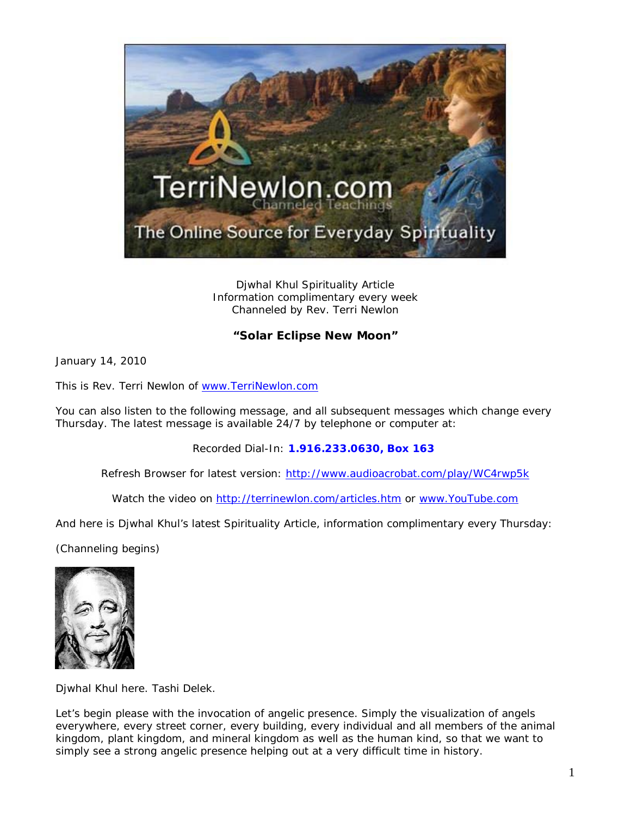

Djwhal Khul Spirituality Article Information complimentary every week Channeled by Rev. Terri Newlon

## **"Solar Eclipse New Moon"**

January 14, 2010

This is Rev. Terri Newlon of [www.TerriNewlon.com](http://www.terrinewlon.com/)

You can also listen to the following message, and all subsequent messages which change every Thursday. The latest message is available 24/7 by telephone or computer at:

Recorded Dial-In: **1.916.233.0630, Box 163**

Refresh Browser for latest version: <http://www.audioacrobat.com/play/WC4rwp5k>

Watch the video on<http://terrinewlon.com/articles.htm> or [www.YouTube.com](http://www.youtube.com/)

And here is Djwhal Khul's latest Spirituality Article, information complimentary every Thursday:

(Channeling begins)



Djwhal Khul here. Tashi Delek.

Let's begin please with the invocation of angelic presence. Simply the visualization of angels everywhere, every street corner, every building, every individual and all members of the animal kingdom, plant kingdom, and mineral kingdom as well as the human kind, so that we want to simply see a *strong* angelic presence helping out at a very difficult time in history.